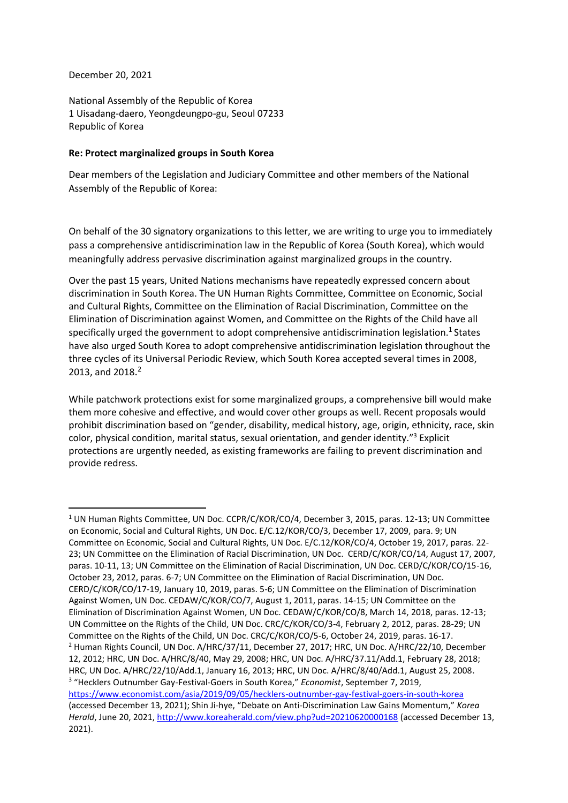December 20, 2021

National Assembly of the Republic of Korea 1 Uisadang-daero, Yeongdeungpo-gu, Seoul 07233 Republic of Korea

## **Re: Protect marginalized groups in South Korea**

Dear members of the Legislation and Judiciary Committee and other members of the National Assembly of the Republic of Korea:

On behalf of the 30 signatory organizations to this letter, we are writing to urge you to immediately pass a comprehensive antidiscrimination law in the Republic of Korea (South Korea), which would meaningfully address pervasive discrimination against marginalized groups in the country.

Over the past 15 years, United Nations mechanisms have repeatedly expressed concern about discrimination in South Korea. The UN Human Rights Committee, Committee on Economic, Social and Cultural Rights, Committee on the Elimination of Racial Discrimination, Committee on the Elimination of Discrimination against Women, and Committee on the Rights of the Child have all specifically urged the government to adopt comprehensive antidiscrimination legislation.<sup>1</sup> States have also urged South Korea to adopt comprehensive antidiscrimination legislation throughout the three cycles of its Universal Periodic Review, which South Korea accepted several times in 2008, 2013, and 2018. 2

While patchwork protections exist for some marginalized groups, a comprehensive bill would make them more cohesive and effective, and would cover other groups as well. Recent proposals would prohibit discrimination based on "gender, disability, medical history, age, origin, ethnicity, race, skin color, physical condition, marital status, sexual orientation, and gender identity."<sup>3</sup> Explicit protections are urgently needed, as existing frameworks are failing to prevent discrimination and provide redress.

<sup>1</sup> UN Human Rights Committee, UN Doc. CCPR/C/KOR/CO/4, December 3, 2015, paras. 12-13; UN Committee on Economic, Social and Cultural Rights, UN Doc. E/C.12/KOR/CO/3, December 17, 2009, para. 9; UN Committee on Economic, Social and Cultural Rights, UN Doc. E/C.12/KOR/CO/4, October 19, 2017, paras. 22- 23; UN Committee on the Elimination of Racial Discrimination, UN Doc. CERD/C/KOR/CO/14, August 17, 2007, paras. 10-11, 13; UN Committee on the Elimination of Racial Discrimination, UN Doc. CERD/C/KOR/CO/15-16, October 23, 2012, paras. 6-7; UN Committee on the Elimination of Racial Discrimination, UN Doc. CERD/C/KOR/CO/17-19, January 10, 2019, paras. 5-6; UN Committee on the Elimination of Discrimination Against Women, UN Doc. CEDAW/C/KOR/CO/7, August 1, 2011, paras. 14-15; UN Committee on the Elimination of Discrimination Against Women, UN Doc. CEDAW/C/KOR/CO/8, March 14, 2018, paras. 12-13; UN Committee on the Rights of the Child, UN Doc. CRC/C/KOR/CO/3-4, February 2, 2012, paras. 28-29; UN Committee on the Rights of the Child, UN Doc. CRC/C/KOR/CO/5-6, October 24, 2019, paras. 16-17. <sup>2</sup> Human Rights Council, UN Doc. A/HRC/37/11, December 27, 2017; HRC, UN Doc. A/HRC/22/10, December 12, 2012; HRC, UN Doc. A/HRC/8/40, May 29, 2008; HRC, UN Doc. A/HRC/37.11/Add.1, February 28, 2018; HRC, UN Doc. A/HRC/22/10/Add.1, January 16, 2013; HRC, UN Doc. A/HRC/8/40/Add.1, August 25, 2008. <sup>3</sup> "Hecklers Outnumber Gay-Festival-Goers in South Korea," *Economist*, September 7, 2019,

<https://www.economist.com/asia/2019/09/05/hecklers-outnumber-gay-festival-goers-in-south-korea> (accessed December 13, 2021); Shin Ji-hye, "Debate on Anti-Discrimination Law Gains Momentum," *Korea Herald*, June 20, 2021[, http://www.koreaherald.com/view.php?ud=20210620000168](http://www.koreaherald.com/view.php?ud=20210620000168) (accessed December 13, 2021).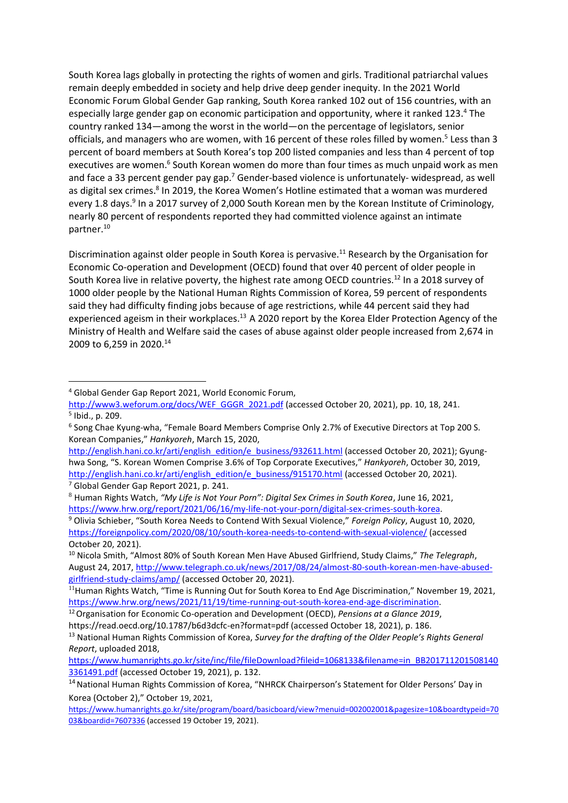South Korea lags globally in protecting the rights of women and girls. Traditional patriarchal values remain deeply embedded in society and help drive deep gender inequity. In the 2021 World Economic Forum Global Gender Gap ranking, South Korea ranked 102 out of 156 countries, with an especially large gender gap on economic participation and opportunity, where it ranked 123.<sup>4</sup> The country ranked 134—among the worst in the world—on the percentage of legislators, senior officials, and managers who are women, with 16 percent of these roles filled by women.<sup>5</sup> Less than 3 percent of board members at South Korea's top 200 listed companies and less than 4 percent of top executives are women.<sup>6</sup> South Korean women do more than four times as much unpaid work as men and face a 33 percent gender pay gap.<sup>7</sup> Gender-based violence is unfortunately- widespread, as well as digital sex crimes.<sup>8</sup> In 2019, the Korea Women's Hotline estimated that a woman was murdered every 1.8 days.<sup>9</sup> In a 2017 survey of 2,000 South Korean men by the Korean Institute of Criminology, nearly 80 percent of respondents reported they had committed violence against an intimate partner.<sup>10</sup>

Discrimination against older people in South Korea is pervasive.<sup>11</sup> Research by the Organisation for Economic Co-operation and Development (OECD) found that over 40 percent of older people in South Korea live in relative poverty, the highest rate among OECD countries.<sup>12</sup> In a 2018 survey of 1000 older people by the National Human Rights Commission of Korea, 59 percent of respondents said they had difficulty finding jobs because of age restrictions, while 44 percent said they had experienced ageism in their workplaces.<sup>13</sup> A 2020 report by the Korea Elder Protection Agency of the Ministry of Health and Welfare said the cases of abuse against older people increased from 2,674 in 2009 to 6,259 in 2020.<sup>14</sup>

<sup>4</sup> Global Gender Gap Report 2021, World Economic Forum,

[http://www3.weforum.org/docs/WEF\\_GGGR\\_2021.pdf](http://www3.weforum.org/docs/WEF_GGGR_2021.pdf) (accessed October 20, 2021), pp. 10, 18, 241. 5 Ibid., p. 209.

<sup>&</sup>lt;sup>6</sup> Song Chae Kyung-wha, "Female Board Members Comprise Only 2.7% of Executive Directors at Top 200 S. Korean Companies," *Hankyoreh*, March 15, 2020,

[http://english.hani.co.kr/arti/english\\_edition/e\\_business/932611.html](http://english.hani.co.kr/arti/english_edition/e_business/932611.html) (accessed October 20, 2021); Gyunghwa Song, "S. Korean Women Comprise 3.6% of Top Corporate Executives," *Hankyoreh*, October 30, 2019, [http://english.hani.co.kr/arti/english\\_edition/e\\_business/915170.html](http://english.hani.co.kr/arti/english_edition/e_business/915170.html) (accessed October 20, 2021). <sup>7</sup> Global Gender Gap Report 2021, p. 241.

<sup>8</sup> Human Rights Watch, *"My Life is Not Your Porn": Digital Sex Crimes in South Korea*, June 16, 2021, [https://www.hrw.org/report/2021/06/16/my-life-not-your-porn/digital-sex-crimes-south-korea.](https://www.hrw.org/report/2021/06/16/my-life-not-your-porn/digital-sex-crimes-south-korea)

<sup>9</sup> Olivia Schieber, "South Korea Needs to Contend With Sexual Violence," *Foreign Policy*, August 10, 2020, <https://foreignpolicy.com/2020/08/10/south-korea-needs-to-contend-with-sexual-violence/> (accessed October 20, 2021).

<sup>10</sup> Nicola Smith, "Almost 80% of South Korean Men Have Abused Girlfriend, Study Claims," *The Telegraph*, August 24, 2017[, http://www.telegraph.co.uk/news/2017/08/24/almost-80-south-korean-men-have-abused](http://www.telegraph.co.uk/news/2017/08/24/almost-80-south-korean-men-have-abused-girlfriend-study-claims/amp/)[girlfriend-study-claims/amp/](http://www.telegraph.co.uk/news/2017/08/24/almost-80-south-korean-men-have-abused-girlfriend-study-claims/amp/) (accessed October 20, 2021).

 $11$ Human Rights Watch, "Time is Running Out for South Korea to End Age Discrimination," November 19, 2021, [https://www.hrw.org/news/2021/11/19/time-running-out-south-korea-end-age-discrimination.](https://www.hrw.org/news/2021/11/19/time-running-out-south-korea-end-age-discrimination)

<sup>&</sup>lt;sup>12</sup> Organisation for Economic Co-operation and Development (OECD), *Pensions at a Glance 2019*,

https://read.oecd.org/10.1787/b6d3dcfc-en?format=pdf (accessed October 18, 2021), p. 186.

<sup>13</sup> National Human Rights Commission of Korea, *Survey for the drafting of the Older People's Rights General Report*, uploaded 2018,

[https://www.humanrights.go.kr/site/inc/file/fileDownload?fileid=1068133&filename=in\\_BB201711201508140](https://www.humanrights.go.kr/site/inc/file/fileDownload?fileid=1068133&filename=in_BB2017112015081403361491.pdf) [3361491.pdf](https://www.humanrights.go.kr/site/inc/file/fileDownload?fileid=1068133&filename=in_BB2017112015081403361491.pdf) (accessed October 19, 2021), p. 132.

<sup>&</sup>lt;sup>14</sup> National Human Rights Commission of Korea, "NHRCK Chairperson's Statement for Older Persons' Day in Korea (October 2)," October 19, 2021,

[https://www.humanrights.go.kr/site/program/board/basicboard/view?menuid=002002001&pagesize=10&boardtypeid=70](https://www.humanrights.go.kr/site/program/board/basicboard/view?menuid=002002001&pagesize=10&boardtypeid=7003&boardid=7607336) [03&boardid=7607336](https://www.humanrights.go.kr/site/program/board/basicboard/view?menuid=002002001&pagesize=10&boardtypeid=7003&boardid=7607336) (accessed 19 October 19, 2021).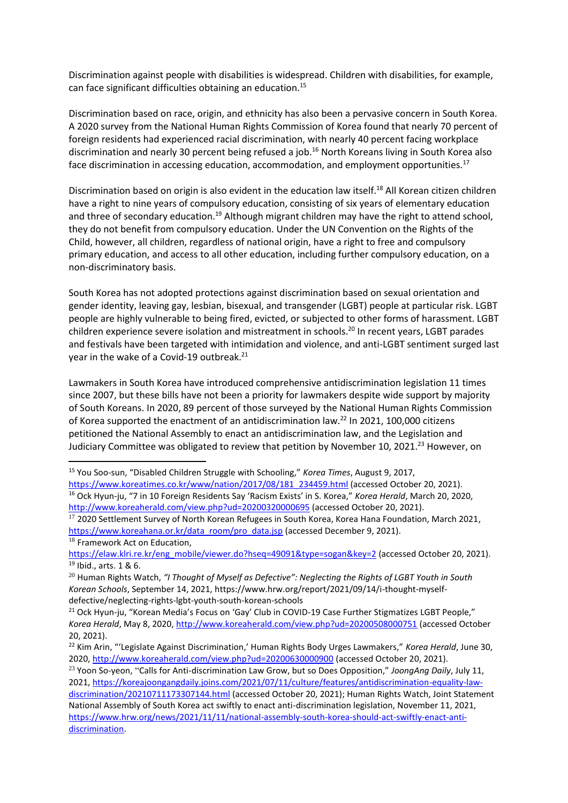Discrimination against people with disabilities is widespread. Children with disabilities, for example, can face significant difficulties obtaining an education.<sup>15</sup>

Discrimination based on race, origin, and ethnicity has also been a pervasive concern in South Korea. A 2020 survey from the National Human Rights Commission of Korea found that nearly 70 percent of foreign residents had experienced racial discrimination, with nearly 40 percent facing workplace discrimination and nearly 30 percent being refused a job.<sup>16</sup> North Koreans living in South Korea also face discrimination in accessing education, accommodation, and employment opportunities.<sup>17</sup>

Discrimination based on origin is also evident in the education law itself.<sup>18</sup> All Korean citizen children have a right to nine years of compulsory education, consisting of six years of elementary education and three of secondary education.<sup>19</sup> Although migrant children may have the right to attend school, they do not benefit from compulsory education. Under the UN Convention on the Rights of the Child, however, all children, regardless of national origin, have a right to free and compulsory primary education, and access to all other education, including further compulsory education, on a non-discriminatory basis.

South Korea has not adopted protections against discrimination based on sexual orientation and gender identity, leaving gay, lesbian, bisexual, and transgender (LGBT) people at particular risk. LGBT people are highly vulnerable to being fired, evicted, or subjected to other forms of harassment. LGBT children experience severe isolation and mistreatment in schools.<sup>20</sup> In recent years, LGBT parades and festivals have been targeted with intimidation and violence, and anti-LGBT sentiment surged last year in the wake of a Covid-19 outbreak.<sup>21</sup>

Lawmakers in South Korea have introduced comprehensive antidiscrimination legislation 11 times since 2007, but these bills have not been a priority for lawmakers despite wide support by majority of South Koreans. In 2020, 89 percent of those surveyed by the National Human Rights Commission of Korea supported the enactment of an antidiscrimination law.<sup>22</sup> In 2021, 100,000 citizens petitioned the National Assembly to enact an antidiscrimination law, and the Legislation and Judiciary Committee was obligated to review that petition by November 10, 2021.<sup>23</sup> However, on

<sup>18</sup> Framework Act on Education,

<sup>15</sup> You Soo-sun, "Disabled Children Struggle with Schooling," *Korea Times*, August 9, 2017,

[https://www.koreatimes.co.kr/www/nation/2017/08/181\\_234459.html](https://www.koreatimes.co.kr/www/nation/2017/08/181_234459.html) (accessed October 20, 2021). <sup>16</sup> Ock Hyun-ju, "7 in 10 Foreign Residents Say 'Racism Exists' in S. Korea," *Korea Herald*, March 20, 2020, <http://www.koreaherald.com/view.php?ud=20200320000695> (accessed October 20, 2021).

<sup>&</sup>lt;sup>17</sup> 2020 Settlement Survey of North Korean Refugees in South Korea, Korea Hana Foundation, March 2021, [https://www.koreahana.or.kr/data\\_room/pro\\_data.jsp](https://www.koreahana.or.kr/data_room/pro_data.jsp) (accessed December 9, 2021).

[https://elaw.klri.re.kr/eng\\_mobile/viewer.do?hseq=49091&type=sogan&key=2](https://elaw.klri.re.kr/eng_mobile/viewer.do?hseq=49091&type=sogan&key=2) (accessed October 20, 2021). <sup>19</sup> Ibid., arts. 1 & 6.

<sup>&</sup>lt;sup>20</sup> Human Rights Watch, "I Thought of Myself as Defective": Neglecting the Rights of LGBT Youth in South *Korean Schools*, September 14, 2021, https://www.hrw.org/report/2021/09/14/i-thought-myselfdefective/neglecting-rights-lgbt-youth-south-korean-schools

<sup>&</sup>lt;sup>21</sup> Ock Hyun-ju, "Korean Media's Focus on 'Gay' Club in COVID-19 Case Further Stigmatizes LGBT People," *Korea Herald*, May 8, 2020[, http://www.koreaherald.com/view.php?ud=20200508000751](http://www.koreaherald.com/view.php?ud=20200508000751) (accessed October 20, 2021).

<sup>22</sup> Kim Arin, "'Legislate Against Discrimination,' Human Rights Body Urges Lawmakers," *Korea Herald*, June 30, 2020,<http://www.koreaherald.com/view.php?ud=20200630000900> (accessed October 20, 2021).

<sup>23</sup> Yoon So-yeon, "Calls for Anti-discrimination Law Grow, but so Does Opposition," *JoongAng Daily*, July 11, 2021, [https://koreajoongangdaily.joins.com/2021/07/11/culture/features/antidiscrimination-equality-law](https://koreajoongangdaily.joins.com/2021/07/11/culture/features/antidiscrimination-equality-law-discrimination/20210711173307144.html)[discrimination/20210711173307144.html](https://koreajoongangdaily.joins.com/2021/07/11/culture/features/antidiscrimination-equality-law-discrimination/20210711173307144.html) (accessed October 20, 2021); Human Rights Watch, Joint Statement National Assembly of South Korea act swiftly to enact anti-discrimination legislation, November 11, 2021, [https://www.hrw.org/news/2021/11/11/national-assembly-south-korea-should-act-swiftly-enact-anti](https://www.hrw.org/news/2021/11/11/national-assembly-south-korea-should-act-swiftly-enact-anti-discrimination)[discrimination.](https://www.hrw.org/news/2021/11/11/national-assembly-south-korea-should-act-swiftly-enact-anti-discrimination)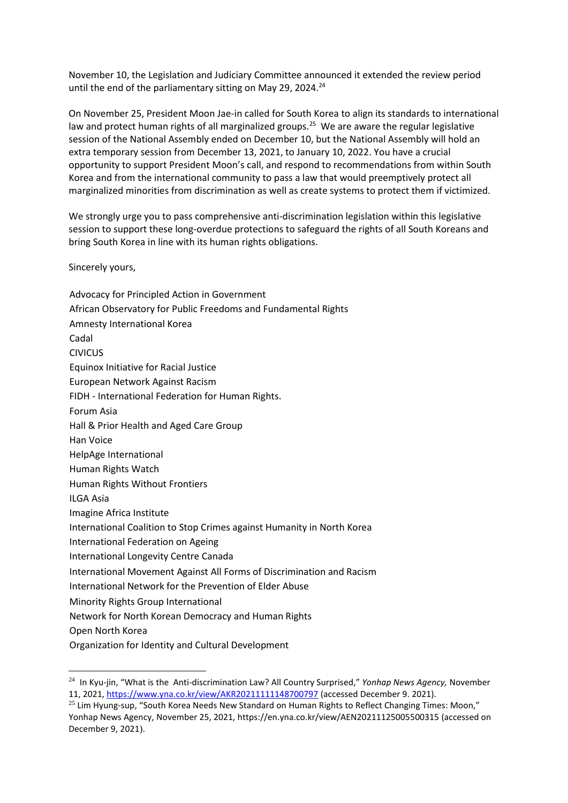November 10, the Legislation and Judiciary Committee announced it extended the review period until the end of the parliamentary sitting on May 29, 2024.<sup>24</sup>

On November 25, President Moon Jae-in called for South Korea to align its standards to international law and protect human rights of all marginalized groups.<sup>25</sup> We are aware the regular legislative session of the National Assembly ended on December 10, but the National Assembly will hold an extra temporary session from December 13, 2021, to January 10, 2022. You have a crucial opportunity to support President Moon's call, and respond to recommendations from within South Korea and from the international community to pass a law that would preemptively protect all marginalized minorities from discrimination as well as create systems to protect them if victimized.

We strongly urge you to pass comprehensive anti-discrimination legislation within this legislative session to support these long-overdue protections to safeguard the rights of all South Koreans and bring South Korea in line with its human rights obligations.

Sincerely yours,

Advocacy for Principled Action in Government African Observatory for Public Freedoms and Fundamental Rights Amnesty International Korea Cadal CIVICUS Equinox Initiative for Racial Justice European Network Against Racism FIDH - International Federation for Human Rights. Forum Asia Hall & Prior Health and Aged Care Group Han Voice HelpAge International Human Rights Watch Human Rights Without Frontiers ILGA Asia Imagine Africa Institute International Coalition to Stop Crimes against Humanity in North Korea International Federation on Ageing International Longevity Centre Canada International Movement Against All Forms of Discrimination and Racism International Network for the Prevention of Elder Abuse Minority Rights Group International Network for North Korean Democracy and Human Rights Open North Korea [Organization for Identity and Cultural Development](https://nam02.safelinks.protection.outlook.com/?url=https%3A%2F%2Foicd.net%2F&data=04%7C01%7Cyoonl%40hrw.org%7C0a6a3eecb891496ecb0508d9be8526aa%7C2eb79de4d8044273a6e64b3188855f66%7C0%7C0%7C637750302094269800%7CUnknown%7CTWFpbGZsb3d8eyJWIjoiMC4wLjAwMDAiLCJQIjoiV2luMzIiLCJBTiI6Ik1haWwiLCJXVCI6Mn0%3D%7C2000&sdata=yjr%2FFGRYK6ff85Z11UYEUaqRLoBdnE1IMAX2vekyQxE%3D&reserved=0)

<sup>24</sup> In Kyu-jin, "What is the Anti-discrimination Law? All Country Surprised," *Yonhap News Agency,* November 11, 2021,<https://www.yna.co.kr/view/AKR20211111148700797> (accessed December 9. 2021).

 $25$  Lim Hyung-sup, "South Korea Needs New Standard on Human Rights to Reflect Changing Times: Moon," Yonhap News Agency, November 25, 2021, <https://en.yna.co.kr/view/AEN20211125005500315> (accessed on December 9, 2021).